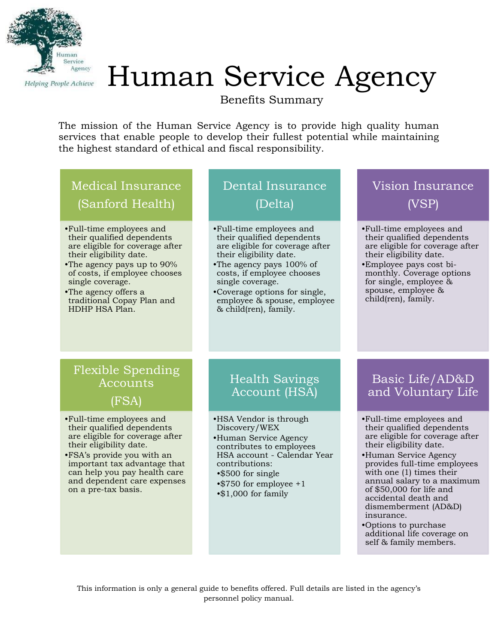

# Human Service Agency

Benefits Summary

The mission of the Human Service Agency is to provide high quality human services that enable people to develop their fullest potential while maintaining the highest standard of ethical and fiscal responsibility.

# Medical Insurance (Sanford Health)

- •Full-time employees and their qualified dependents are eligible for coverage after their eligibility date.
- •The agency pays up to 90% of costs, if employee chooses single coverage.
- •The agency offers a traditional Copay Plan and HDHP HSA Plan.

## Dental Insurance (Delta)

- •Full-time employees and their qualified dependents are eligible for coverage after their eligibility date.
- •The agency pays 100% of costs, if employee chooses single coverage.
- •Coverage options for single, employee & spouse, employee & child(ren), family.

## Vision Insurance (VSP)

- •Full-time employees and their qualified dependents are eligible for coverage after their eligibility date.
- •Employee pays cost bimonthly. Coverage options for single, employee & spouse, employee & child(ren), family.

#### Flexible Spending **Accounts** (FSA)

- •Full-time employees and their qualified dependents are eligible for coverage after their eligibility date.
- •FSA's provide you with an important tax advantage that can help you pay health care and dependent care expenses on a pre-tax basis.

## Health Savings Account (HSA)

- •HSA Vendor is through Discovery/WEX
- •Human Service Agency contributes to employees HSA account - Calendar Year contributions:
- •\$500 for single
- •\$750 for employee +1 •\$1,000 for family

#### Basic Life/AD&D and Voluntary Life

- •Full-time employees and their qualified dependents are eligible for coverage after their eligibility date.
- •Human Service Agency provides full-time employees with one (1) times their annual salary to a maximum of \$50,000 for life and accidental death and dismemberment (AD&D) insurance.
- •Options to purchase additional life coverage on self & family members.

This information is only a general guide to benefits offered. Full details are listed in the agency's personnel policy manual.